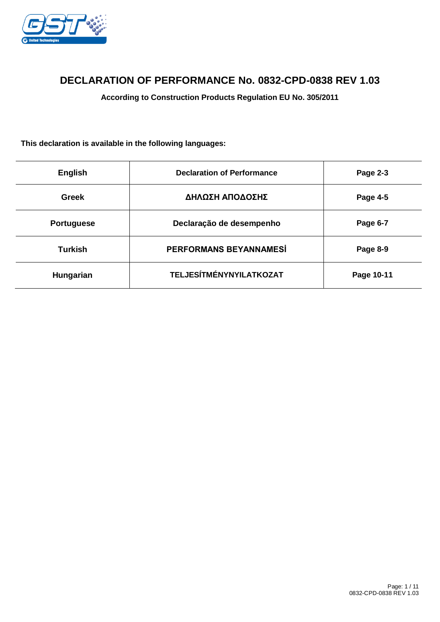

# **DECLARATION OF PERFORMANCE No. 0832-CPD-0838 REV 1.03**

**According to Construction Products Regulation EU No. 305/2011**

**This declaration is available in the following languages:**

| <b>English</b>    | <b>Declaration of Performance</b> | Page 2-3   |
|-------------------|-----------------------------------|------------|
| <b>Greek</b>      | ΔΗΛΩΣΗ ΑΠΟΔΟΣΗΣ                   | Page 4-5   |
| <b>Portuguese</b> | Declaração de desempenho          | Page 6-7   |
| <b>Turkish</b>    | PERFORMANS BEYANNAMESİ            | Page 8-9   |
| Hungarian         | <b>TELJESÍTMÉNYNYILATKOZAT</b>    | Page 10-11 |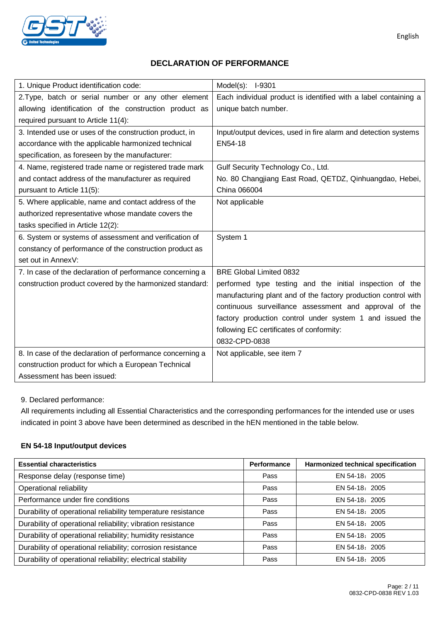

### **DECLARATION OF PERFORMANCE**

| 1. Unique Product identification code:                    | Model(s): I-9301                                                |
|-----------------------------------------------------------|-----------------------------------------------------------------|
| 2. Type, batch or serial number or any other element      | Each individual product is identified with a label containing a |
| allowing identification of the construction product as    | unique batch number.                                            |
| required pursuant to Article 11(4):                       |                                                                 |
| 3. Intended use or uses of the construction product, in   | Input/output devices, used in fire alarm and detection systems  |
| accordance with the applicable harmonized technical       | EN54-18                                                         |
| specification, as foreseen by the manufacturer:           |                                                                 |
| 4. Name, registered trade name or registered trade mark   | Gulf Security Technology Co., Ltd.                              |
| and contact address of the manufacturer as required       | No. 80 Changjiang East Road, QETDZ, Qinhuangdao, Hebei,         |
| pursuant to Article 11(5):                                | China 066004                                                    |
| 5. Where applicable, name and contact address of the      | Not applicable                                                  |
| authorized representative whose mandate covers the        |                                                                 |
| tasks specified in Article 12(2):                         |                                                                 |
| 6. System or systems of assessment and verification of    | System 1                                                        |
| constancy of performance of the construction product as   |                                                                 |
| set out in AnnexV:                                        |                                                                 |
| 7. In case of the declaration of performance concerning a | <b>BRE Global Limited 0832</b>                                  |
| construction product covered by the harmonized standard:  | performed type testing and the initial inspection of the        |
|                                                           | manufacturing plant and of the factory production control with  |
|                                                           | continuous surveillance assessment and approval of the          |
|                                                           | factory production control under system 1 and issued the        |
|                                                           | following EC certificates of conformity:                        |
|                                                           | 0832-CPD-0838                                                   |
| 8. In case of the declaration of performance concerning a | Not applicable, see item 7                                      |
| construction product for which a European Technical       |                                                                 |
| Assessment has been issued:                               |                                                                 |

#### 9. Declared performance:

All requirements including all Essential Characteristics and the corresponding performances for the intended use or uses indicated in point 3 above have been determined as described in the hEN mentioned in the table below.

#### **EN 54-18 Input/output devices**

| <b>Essential characteristics</b>                             | <b>Performance</b> | Harmonized technical specification |
|--------------------------------------------------------------|--------------------|------------------------------------|
| Response delay (response time)                               | Pass               | EN 54-18: 2005                     |
| Operational reliability                                      | Pass               | EN 54-18: 2005                     |
| Performance under fire conditions                            | Pass               | EN 54-18: 2005                     |
| Durability of operational reliability temperature resistance | Pass               | EN 54-18: 2005                     |
| Durability of operational reliability; vibration resistance  | Pass               | EN 54-18: 2005                     |
| Durability of operational reliability; humidity resistance   | Pass               | EN 54-18: 2005                     |
| Durability of operational reliability; corrosion resistance  | Pass               | EN 54-18: 2005                     |
| Durability of operational reliability; electrical stability  | Pass               | EN 54-18: 2005                     |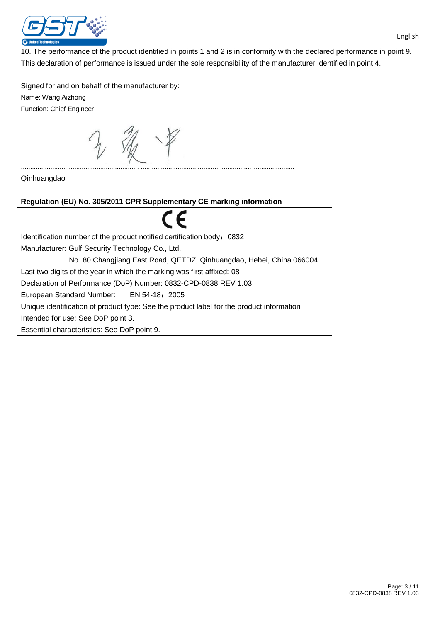

10. The performance of the product identified in points 1 and 2 is in conformity with the declared performance in point 9. This declaration of performance is issued under the sole responsibility of the manufacturer identified in point 4.

Signed for and on behalf of the manufacturer by: Name: Wang Aizhong Function: Chief Engineer

 $\frac{1}{2}$  $\bigg($ 

................................................................ ...................................................................................

#### Qinhuangdao

| Regulation (EU) No. 305/2011 CPR Supplementary CE marking information                    |  |  |
|------------------------------------------------------------------------------------------|--|--|
|                                                                                          |  |  |
| Identification number of the product notified certification body: 0832                   |  |  |
| Manufacturer: Gulf Security Technology Co., Ltd.                                         |  |  |
| No. 80 Changjiang East Road, QETDZ, Qinhuangdao, Hebei, China 066004                     |  |  |
| Last two digits of the year in which the marking was first affixed: 08                   |  |  |
| Declaration of Performance (DoP) Number: 0832-CPD-0838 REV 1.03                          |  |  |
| European Standard Number: EN 54-18: 2005                                                 |  |  |
| Unique identification of product type: See the product label for the product information |  |  |
| Intended for use: See DoP point 3.                                                       |  |  |
| Essential characteristics: See DoP point 9.                                              |  |  |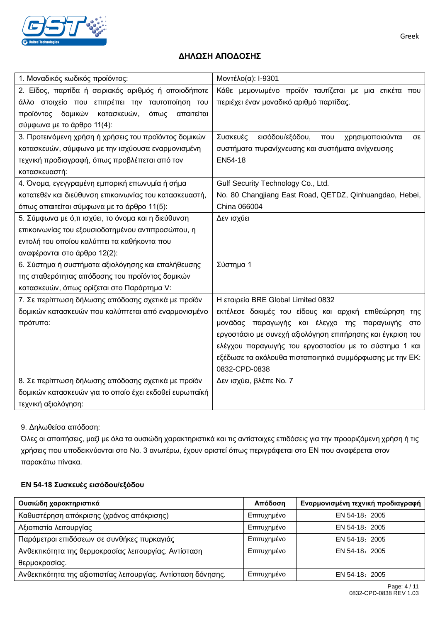

### **ΔΗΛΩΣΗ ΑΠΟΔΟΣΗΣ**

| 1. Μοναδικός κωδικός προϊόντος:                        | Μοντέλο(α): I-9301                                                |  |  |
|--------------------------------------------------------|-------------------------------------------------------------------|--|--|
| 2. Είδος, παρτίδα ή σειριακός αριθμός ή οποιοδήποτε    | Κάθε μεμονωμένο προϊόν ταυτίζεται με μια ετικέτα που              |  |  |
| άλλο στοιχείο που επιτρέπει την ταυτοποίηση του        | περιέχει έναν μοναδικό αριθμό παρτίδας.                           |  |  |
| προϊόντος δομικών<br>κατασκευών,<br>όπως<br>απαιτείται |                                                                   |  |  |
| σύμφωνα με το άρθρο 11(4):                             |                                                                   |  |  |
| 3. Προτεινόμενη χρήση ή χρήσεις του προϊόντος δομικών  | Συσκευές<br>εισόδου/εξόδου,<br>$\pi$ ou<br>χρησιμοποιούνται<br>σε |  |  |
| κατασκευών, σύμφωνα με την ισχύουσα εναρμονισμένη      | συστήματα πυρανίχνευσης και συστήματα ανίχνευσης                  |  |  |
| τεχνική προδιαγραφή, όπως προβλέπεται από τον          | EN54-18                                                           |  |  |
| κατασκευαστή:                                          |                                                                   |  |  |
| 4. Όνομα, εγεγγραμένη εμπορική επωνυμία ή σήμα         | Gulf Security Technology Co., Ltd.                                |  |  |
| κατατεθέν και διεύθυνση επικοινωνίας του κατασκευαστή, | No. 80 Changjiang East Road, QETDZ, Qinhuangdao, Hebei,           |  |  |
| όπως απαιτείται σύμφωνα με το άρθρο 11(5):             | China 066004                                                      |  |  |
| 5. Σύμφωνα με ό,τι ισχύει, το όνομα και η διεύθυνση    | Δεν ισχύει                                                        |  |  |
| επικοινωνίας του εξουσιοδοτημένου αντιπροσώπου, η      |                                                                   |  |  |
| εντολή του οποίου καλύπτει τα καθήκοντα που            |                                                                   |  |  |
| αναφέρονται στο άρθρο 12(2):                           |                                                                   |  |  |
| 6. Σύστημα ή συστήματα αξιολόγησης και επαλήθευσης     | Σύστημα 1                                                         |  |  |
| της σταθερότητας απόδοσης του προϊόντος δομικών        |                                                                   |  |  |
| κατασκευών, όπως ορίζεται στο Παράρτημα V:             |                                                                   |  |  |
| 7. Σε περίπτωση δήλωσης απόδοσης σχετικά με προϊόν     | Η εταιρεία BRE Global Limited 0832                                |  |  |
| δομικών κατασκευών που καλύπτεται από εναρμονισμένο    | εκτέλεσε δοκιμές του είδους και αρχική επιθεώρηση<br>της          |  |  |
| πρότυπο:                                               | μονάδας παραγωγής και έλεγχο της παραγωγής<br>στο                 |  |  |
|                                                        | εργοστάσιο με συνεχή αξιολόγηση επιτήρησης και έγκριση του        |  |  |
|                                                        | ελέγχου παραγωγής του εργοστασίου με το σύστημα 1 και             |  |  |
|                                                        | εξέδωσε τα ακόλουθα πιστοποιητικά συμμόρφωσης με την ΕΚ:          |  |  |
|                                                        | 0832-CPD-0838                                                     |  |  |
| 8. Σε περίπτωση δήλωσης απόδοσης σχετικά με προϊόν     | Δεν ισχύει, βλέπε Νο. 7                                           |  |  |
| δομικών κατασκευών για το οποίο έχει εκδοθεί ευρωπαϊκή |                                                                   |  |  |
| τεχνική αξιολόγηση:                                    |                                                                   |  |  |

9. Δηλωθείσα απόδοση:

Όλες οι απαιτήσεις, μαζί με όλα τα ουσιώδη χαρακτηριστικά και τις αντίστοιχες επιδόσεις για την προοριζόμενη χρήση ή τις χρήσεις που υποδεικνύονται στο No. 3 ανωτέρω, έχουν οριστεί όπως περιγράφεται στο ΕΝ που αναφέρεται στον παρακάτω πίνακα.

### **EN 54-18 Συσκευές εισόδου/εξόδου**

| Ουσιώδη χαρακτηριστικά                                        | Απόδοση     | Εναρμονισμένη τεχνική προδιαγραφή |
|---------------------------------------------------------------|-------------|-----------------------------------|
| Καθυστέρηση απόκρισης (χρόνος απόκρισης)                      | Επιτυχημένο | EN 54-18: 2005                    |
| Αξιοπιστία λειτουργίας                                        | Επιτυχημένο | EN 54-18: 2005                    |
| Παράμετροι επιδόσεων σε συνθήκες πυρκαγιάς                    | Επιτυχημένο | EN 54-18: 2005                    |
| Ανθεκτικότητα της θερμοκρασίας λειτουργίας. Αντίσταση         | Επιτυχημένο | EN 54-18: 2005                    |
| θερμοκρασίας.                                                 |             |                                   |
| Ανθεκτικότητα της αξιοπιστίας λειτουργίας. Αντίσταση δόνησης. | Επιτυχημένο | EN 54-18: 2005                    |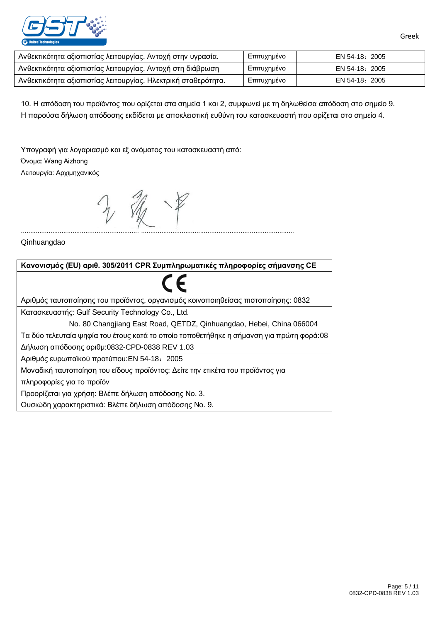

| Ανθεκτικότητα αξιοπιστίας λειτουργίας. Αντοχή στην υγρασία.   | Επιτυχημένο | EN 54-18: 2005 |
|---------------------------------------------------------------|-------------|----------------|
| Ανθεκτικότητα αξιοπιστίας λειτουργίας. Αντοχή στη διάβρωση    | Επιτυχημένο | EN 54-18: 2005 |
| Ανθεκτικότητα αξιοπιστίας λειτουργίας. Ηλεκτρική σταθερότητα. | Επιτυχημένο | EN 54-18: 2005 |

10. Η απόδοση του προϊόντος που ορίζεται στα σημεία 1 και 2, συμφωνεί με τη δηλωθείσα απόδοση στο σημείο 9. Η παρούσα δήλωση απόδοσης εκδίδεται με αποκλειστική ευθύνη του κατασκευαστή που ορίζεται στο σημείο 4.

Υπογραφή για λογαριασμό και εξ ονόματος του κατασκευαστή από: Όνομα: Wang Aizhong Λειτουργία: Αρχιμηχανικός

 $\rightarrow$ 

................................................................ ...................................................................................

Qinhuangdao

| Κανονισμός (EU) αριθ. 305/2011 CPR Συμπληρωματικές πληροφορίες σήμανσης CE              |  |  |
|-----------------------------------------------------------------------------------------|--|--|
|                                                                                         |  |  |
| Αριθμός ταυτοποίησης του προϊόντος, οργανισμός κοινοποιηθείσας πιστοποίησης: 0832       |  |  |
| Κατασκευαστής: Gulf Security Technology Co., Ltd.                                       |  |  |
| No. 80 Changjiang East Road, QETDZ, Qinhuangdao, Hebei, China 066004                    |  |  |
| Τα δύο τελευταία ψηφία του έτους κατά το οποίο τοποθετήθηκε η σήμανση για πρώτη φορά:08 |  |  |
| Δήλωση απόδοσης αριθμ:0832-CPD-0838 REV 1.03                                            |  |  |
| Αριθμός ευρωπαϊκού προτύπου: ΕΝ 54-18: 2005                                             |  |  |
| Μοναδική ταυτοποίηση του είδους προϊόντος: Δείτε την ετικέτα του προϊόντος για          |  |  |
| πληροφορίες για το προϊόν                                                               |  |  |
| Προορίζεται για χρήση: Βλέπε δήλωση απόδοσης Νο. 3.                                     |  |  |
| Ουσιώδη χαρακτηριστικά: Βλέπε δήλωση απόδοσης Νο. 9.                                    |  |  |

Greek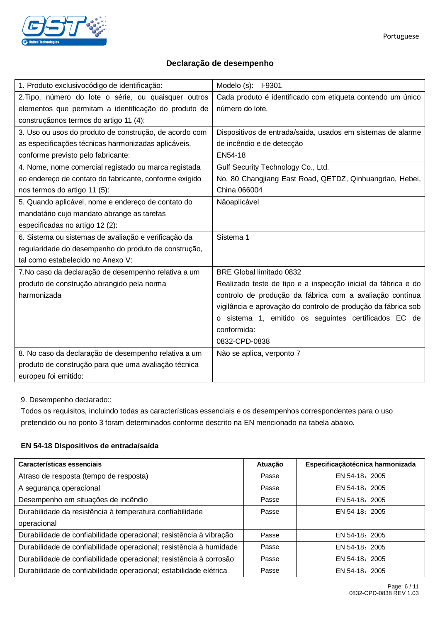

### **Declaração de desempenho**

| 1. Produto exclusivocódigo de identificação:           | Modelo (s): I-9301                                            |
|--------------------------------------------------------|---------------------------------------------------------------|
| 2. Tipo, número do lote o série, ou quaisquer outros   | Cada produto é identificado com etiqueta contendo um único    |
| elementos que permitam a identificação do produto de   | número do lote.                                               |
| construçãonos termos do artigo 11 (4):                 |                                                               |
| 3. Uso ou usos do produto de construção, de acordo com | Dispositivos de entrada/saída, usados em sistemas de alarme   |
| as especificações técnicas harmonizadas aplicáveis,    | de incêndio e de detecção                                     |
| conforme previsto pelo fabricante:                     | EN54-18                                                       |
| 4. Nome, nome comercial registado ou marca registada   | Gulf Security Technology Co., Ltd.                            |
| eo endereço de contato do fabricante, conforme exigido | No. 80 Changjiang East Road, QETDZ, Qinhuangdao, Hebei,       |
| nos termos do artigo 11 (5):                           | China 066004                                                  |
| 5. Quando aplicável, nome e endereço de contato do     | Nãoaplicável                                                  |
| mandatário cujo mandato abrange as tarefas             |                                                               |
| especificadas no artigo 12 (2):                        |                                                               |
| 6. Sistema ou sistemas de avaliação e verificação da   | Sistema 1                                                     |
| regularidade do desempenho do produto de construção,   |                                                               |
| tal como estabelecido no Anexo V:                      |                                                               |
| 7. No caso da declaração de desempenho relativa a um   | BRE Global limitado 0832                                      |
| produto de construção abrangido pela norma             | Realizado teste de tipo e a inspecção inicial da fábrica e do |
| harmonizada                                            | controlo de produção da fábrica com a avaliação contínua      |
|                                                        | vigilância e aprovação do controlo de produção da fábrica sob |
|                                                        | o sistema 1, emitido os seguintes certificados EC de          |
|                                                        | conformida:                                                   |
|                                                        | 0832-CPD-0838                                                 |
| 8. No caso da declaração de desempenho relativa a um   | Não se aplica, verponto 7                                     |
| produto de construção para que uma avaliação técnica   |                                                               |
| europeu foi emitido:                                   |                                                               |

9. Desempenho declarado::

Todos os requisitos, incluindo todas as características essenciais e os desempenhos correspondentes para o uso pretendido ou no ponto 3 foram determinados conforme descrito na EN mencionado na tabela abaixo.

#### **EN 54-18 Dispositivos de entrada/saída**

| Características essenciais                                         | Atuação | Especificaçãotécnica harmonizada |
|--------------------------------------------------------------------|---------|----------------------------------|
| Atraso de resposta (tempo de resposta)                             | Passe   | EN 54-18: 2005                   |
| A segurança operacional                                            | Passe   | EN 54-18: 2005                   |
| Desempenho em situações de incêndio                                | Passe   | EN 54-18: 2005                   |
| Durabilidade da resistência à temperatura confiabilidade           | Passe   | EN 54-18: 2005                   |
| operacional                                                        |         |                                  |
| Durabilidade de confiabilidade operacional; resistência à vibração | Passe   | EN 54-18: 2005                   |
| Durabilidade de confiabilidade operacional; resistência à humidade | Passe   | EN 54-18: 2005                   |
| Durabilidade de confiabilidade operacional; resistência à corrosão | Passe   | EN 54-18: 2005                   |
| Durabilidade de confiabilidade operacional; estabilidade elétrica  | Passe   | EN 54-18: 2005                   |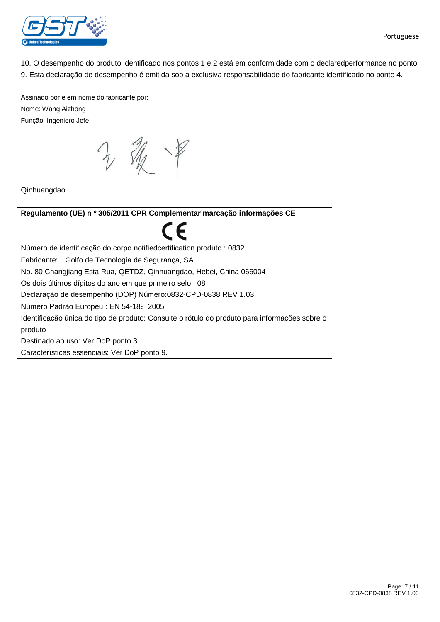

10. O desempenho do produto identificado nos pontos 1 e 2 está em conformidade com o declaredperformance no ponto 9. Esta declaração de desempenho é emitida sob a exclusiva responsabilidade do fabricante identificado no ponto 4.

Assinado por e em nome do fabricante por: Nome: Wang Aizhong Função: Ingeniero Jefe

................................................................ ...................................................................................

Qinhuangdao

**Regulamento (UE) n º 305/2011 CPR Complementar marcação informações CE** Número de identificação do corpo notifiedcertification produto : 0832 Fabricante: Golfo de Tecnologia de Segurança, SA No. 80 Changjiang Esta Rua, QETDZ, Qinhuangdao, Hebei, China 066004 Os dois últimos dígitos do ano em que primeiro selo : 08 Declaração de desempenho (DOP) Número:0832-CPD-0838 REV 1.03 Número Padrão Europeu : EN 54-18: 2005 Identificação única do tipo de produto: Consulte o rótulo do produto para informações sobre o produto Destinado ao uso: Ver DoP ponto 3. Características essenciais: Ver DoP ponto 9.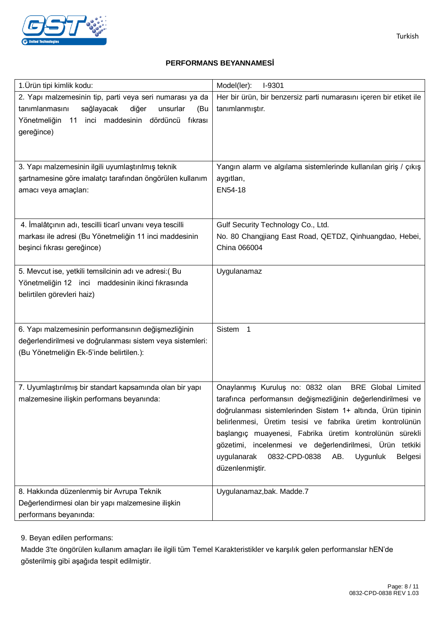

### **PERFORMANS BEYANNAMESİ**

| 1. Ürün tipi kimlik kodu:                                                                                  | Model(ler):<br>I-9301                                              |
|------------------------------------------------------------------------------------------------------------|--------------------------------------------------------------------|
| 2. Yapı malzemesinin tip, parti veya seri numarası ya da                                                   | Her bir ürün, bir benzersiz parti numarasını içeren bir etiket ile |
| tanımlanmasını<br>sağlayacak<br>diğer<br>unsurlar<br>(Bu                                                   | tanımlanmıştır.                                                    |
| Yönetmeliğin<br>11 inci maddesinin<br>dördüncü<br>fıkrası                                                  |                                                                    |
| gereğince)                                                                                                 |                                                                    |
|                                                                                                            |                                                                    |
|                                                                                                            |                                                                    |
| 3. Yapı malzemesinin ilgili uyumlaştırılmış teknik                                                         | Yangın alarm ve algılama sistemlerinde kullanılan giriş / çıkış    |
| şartnamesine göre imalatçı tarafından öngörülen kullanım                                                   | aygıtları,                                                         |
| amacı veya amaçları:                                                                                       | EN54-18                                                            |
|                                                                                                            |                                                                    |
|                                                                                                            |                                                                    |
| 4. İmalâtçının adı, tescilli ticarî unvanı veya tescilli                                                   | Gulf Security Technology Co., Ltd.                                 |
| markası ile adresi (Bu Yönetmeliğin 11 inci maddesinin                                                     | No. 80 Changjiang East Road, QETDZ, Qinhuangdao, Hebei,            |
| beşinci fıkrası gereğince)                                                                                 | China 066004                                                       |
|                                                                                                            |                                                                    |
| 5. Mevcut ise, yetkili temsilcinin adı ve adresi: (Bu<br>Yönetmeliğin 12 inci maddesinin ikinci fıkrasında | Uygulanamaz                                                        |
| belirtilen görevleri haiz)                                                                                 |                                                                    |
|                                                                                                            |                                                                    |
|                                                                                                            |                                                                    |
| 6. Yapı malzemesinin performansının değişmezliğinin                                                        | Sistem <sub>1</sub>                                                |
| değerlendirilmesi ve doğrulanması sistem veya sistemleri:                                                  |                                                                    |
| (Bu Yönetmeliğin Ek-5'inde belirtilen.):                                                                   |                                                                    |
|                                                                                                            |                                                                    |
|                                                                                                            |                                                                    |
| 7. Uyumlaştırılmış bir standart kapsamında olan bir yapı                                                   | Onaylanmış Kuruluş no: 0832 olan<br><b>BRE</b> Global Limited      |
| malzemesine ilişkin performans beyanında:                                                                  | tarafınca performansın değişmezliğinin değerlendirilmesi ve        |
|                                                                                                            | doğrulanması sistemlerinden Sistem 1+ altında, Ürün tipinin        |
|                                                                                                            | belirlenmesi, Üretim tesisi ve fabrika üretim kontrolünün          |
|                                                                                                            | başlangıç muayenesi, Fabrika üretim kontrolünün sürekli            |
|                                                                                                            | gözetimi, incelenmesi ve değerlendirilmesi, Ürün tetkiki           |
|                                                                                                            | AB.<br><b>Uygunluk</b><br>uygulanarak<br>0832-CPD-0838<br>Belgesi  |
|                                                                                                            | düzenlenmiştir.                                                    |
|                                                                                                            |                                                                    |
| 8. Hakkında düzenlenmiş bir Avrupa Teknik                                                                  | Uygulanamaz, bak. Madde.7                                          |
| Değerlendirmesi olan bir yapı malzemesine ilişkin                                                          |                                                                    |
| performans beyanında:                                                                                      |                                                                    |

9. Beyan edilen performans:

Madde 3'te öngörülen kullanım amaçları ile ilgili tüm Temel Karakteristikler ve karşılık gelen performanslar hEN'de gösterilmiş gibi aşağıda tespit edilmiştir.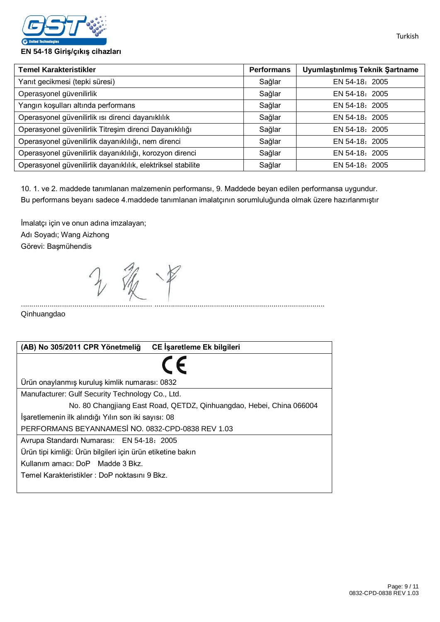

#### **EN 54-18 Giriş/çıkış cihazları**

| <b>Temel Karakteristikler</b>                                | <b>Performans</b> | Uyumlaştınlmış Teknik Şartname |
|--------------------------------------------------------------|-------------------|--------------------------------|
| Yanıt gecikmesi (tepki süresi)                               | Sağlar            | EN 54-18: 2005                 |
| Operasyonel güvenilirlik                                     | Sağlar            | EN 54-18: 2005                 |
| Yangın koşulları altında performans                          | Sağlar            | EN 54-18: 2005                 |
| Operasyonel güvenilirlik ısı direnci dayanıklılık            | Sağlar            | EN 54-18: 2005                 |
| Operasyonel güvenilirlik Titreşim direnci Dayanıklılığı      | Sağlar            | EN 54-18: 2005                 |
| Operasyonel güvenilirlik dayanıklılığı, nem direnci          | Sağlar            | EN 54-18: 2005                 |
| Operasyonel güvenilirlik dayanıklılığı, korozyon direnci     | Sağlar            | EN 54-18: 2005                 |
| Operasyonel güvenilirlik dayanıklılık, elektriksel stabilite | Sağlar            | EN 54-18: 2005                 |

10. 1. ve 2. maddede tanımlanan malzemenin performansı, 9. Maddede beyan edilen performansa uygundur. Bu performans beyanı sadece 4.maddede tanımlanan imalatçının sorumluluğunda olmak üzere hazırlanmıştır

İmalatçı için ve onun adına imzalayan; Adı Soyadı; Wang Aizhong Görevi: Başmühendis

 $\frac{3}{2}$ ................................................................ ...................................................................................

Qinhuangdao

| CE İşaretleme Ek bilgileri<br>(AB) No 305/2011 CPR Yönetmeliğ        |
|----------------------------------------------------------------------|
|                                                                      |
| Ürün onaylanmış kuruluş kimlik numarası: 0832                        |
| Manufacturer: Gulf Security Technology Co., Ltd.                     |
| No. 80 Changjiang East Road, QETDZ, Qinhuangdao, Hebei, China 066004 |
| İşaretlemenin ilk alındığı Yılın son iki sayısı: 08                  |
| PERFORMANS BEYANNAMESI NO. 0832-CPD-0838 REV 1.03                    |
| Avrupa Standardı Numarası: EN 54-18: 2005                            |
| Ürün tipi kimliği: Ürün bilgileri için ürün etiketine bakın          |
| Kullanim amacı: DoP Madde 3 Bkz.                                     |
| Temel Karakteristikler: DoP noktasını 9 Bkz.                         |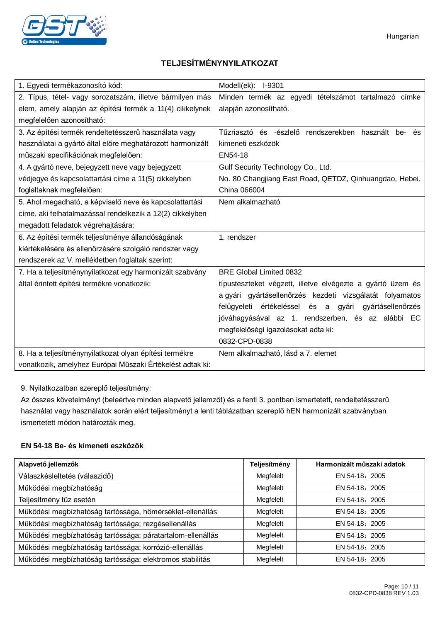

## **TELJESÍTMÉNYNYILATKOZAT**

| 1. Egyedi termékazonosító kód:                             | Modell(ek): I-9301                                         |
|------------------------------------------------------------|------------------------------------------------------------|
| 2. Típus, tétel- vagy sorozatszám, illetve bármilyen más   | Minden termék az egyedi tételszámot tartalmazó címke       |
| elem, amely alapján az építési termék a 11(4) cikkelynek   | alapján azonosítható.                                      |
| megfelelően azonosítható:                                  |                                                            |
| 3. Az építési termék rendeltetésszerű használata vagy      | Tűzriasztó és -észlelő rendszerekben használt be-<br>és    |
| használatai a gyártó által előre meghatározott harmonizált | kimeneti eszközök                                          |
| műszaki specifikációnak megfelelően:                       | EN54-18                                                    |
| 4. A gyártó neve, bejegyzett neve vagy bejegyzett          | Gulf Security Technology Co., Ltd.                         |
| védjegye és kapcsolattartási címe a 11(5) cikkelyben       | No. 80 Changjiang East Road, QETDZ, Qinhuangdao, Hebei,    |
| foglaltaknak megfelelően:                                  | China 066004                                               |
| 5. Ahol megadható, a képviselő neve és kapcsolattartási    | Nem alkalmazható                                           |
| címe, aki felhatalmazással rendelkezik a 12(2) cikkelyben  |                                                            |
| megadott feladatok végrehajtására:                         |                                                            |
| 6. Az építési termék teljesítménye állandóságának          | 1. rendszer                                                |
| kiértékelésére és ellenőrzésére szolgáló rendszer vagy     |                                                            |
| rendszerek az V. mellékletben foglaltak szerint:           |                                                            |
| 7. Ha a teljesítménynyilatkozat egy harmonizált szabvány   | <b>BRE Global Limited 0832</b>                             |
| által érintett építési termékre vonatkozik:                | típusteszteket végzett, illetve elvégezte a gyártó üzem és |
|                                                            | a gyári gyártásellenőrzés kezdeti vizsgálatát folyamatos   |
|                                                            | felügyeleti értékeléssel és a gyári gyártásellenőrzés      |
|                                                            | jóváhagyásával az 1. rendszerben, és az alábbi EC          |
|                                                            | megfelelőségi igazolásokat adta ki:                        |
|                                                            | 0832-CPD-0838                                              |
| 8. Ha a teljesítménynyilatkozat olyan építési termékre     | Nem alkalmazható, lásd a 7. elemet                         |
| vonatkozik, amelyhez Európai Műszaki Értékelést adtak ki:  |                                                            |

9. Nyilatkozatban szereplő teljesítmény:

Az összes követelményt (beleértve minden alapvető jellemzőt) és a fenti 3. pontban ismertetett, rendeltetésszerű használat vagy használatok során elért teljesítményt a lenti táblázatban szereplő hEN harmonizált szabványban ismertetett módon határozták meg.

#### **EN 54-18 Be- és kimeneti eszközök**

| Alapvető jellemzők                                         | Teljesítmény | Harmonizált műszaki adatok |
|------------------------------------------------------------|--------------|----------------------------|
| Válaszkésleltetés (válaszidő)                              | Megfelelt    | EN 54-18: 2005             |
| Működési megbízhatóság                                     | Megfelelt    | EN 54-18: 2005             |
| Teljesítmény tűz esetén                                    | Megfelelt    | EN 54-18: 2005             |
| Működési megbízhatóság tartóssága, hőmérséklet-ellenállás  | Megfelelt    | EN 54-18: 2005             |
| Működési megbízhatóság tartóssága; rezgésellenállás        | Megfelelt    | EN 54-18: 2005             |
| Működési megbízhatóság tartóssága; páratartalom-ellenállás | Megfelelt    | EN 54-18: 2005             |
| Működési megbízhatóság tartóssága; korrózió-ellenállás     | Megfelelt    | EN 54-18: 2005             |
| Működési megbízhatóság tartóssága; elektromos stabilitás   | Megfelelt    | EN 54-18: 2005             |